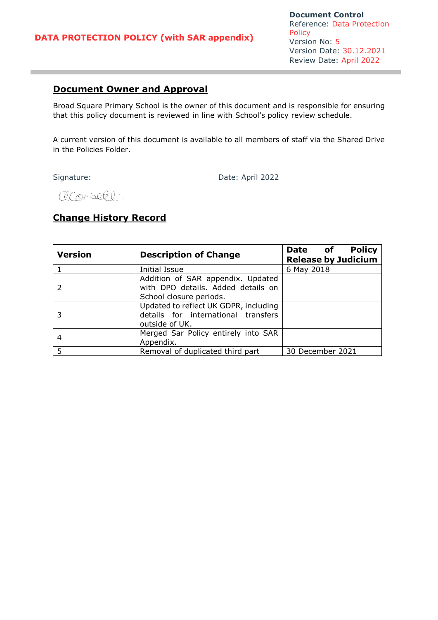# **Document Owner and Approval**

Broad Square Primary School is the owner of this document and is responsible for ensuring that this policy document is reviewed in line with School's policy review schedule.

A current version of this document is available to all members of staff via the Shared Drive in the Policies Folder.

Signature: Date: April 2022

accorbect.

# **Change History Record**

| <b>Version</b> | <b>Description of Change</b>                                                                       | <b>Policy</b><br>Date of<br><b>Release by Judicium</b> |
|----------------|----------------------------------------------------------------------------------------------------|--------------------------------------------------------|
|                | Initial Issue                                                                                      | 6 May 2018                                             |
|                | Addition of SAR appendix. Updated<br>with DPO details. Added details on<br>School closure periods. |                                                        |
|                | Updated to reflect UK GDPR, including<br>details for international transfers<br>outside of UK.     |                                                        |
| 4              | Merged Sar Policy entirely into SAR<br>Appendix.                                                   |                                                        |
| 5              | Removal of duplicated third part                                                                   | 30 December 2021                                       |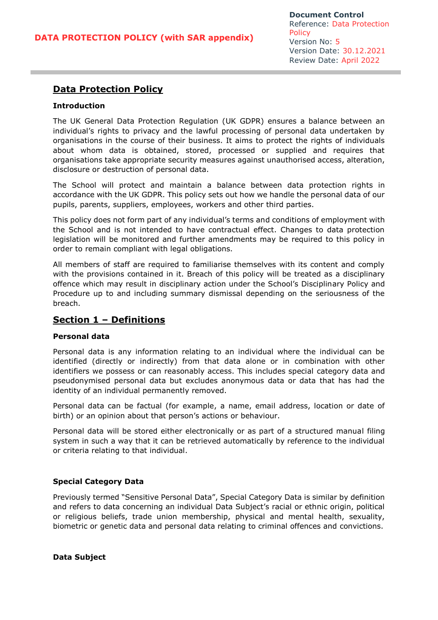# **Data Protection Policy**

### **Introduction**

The UK General Data Protection Regulation (UK GDPR) ensures a balance between an individual's rights to privacy and the lawful processing of personal data undertaken by organisations in the course of their business. It aims to protect the rights of individuals about whom data is obtained, stored, processed or supplied and requires that organisations take appropriate security measures against unauthorised access, alteration, disclosure or destruction of personal data.

The School will protect and maintain a balance between data protection rights in accordance with the UK GDPR. This policy sets out how we handle the personal data of our pupils, parents, suppliers, employees, workers and other third parties.

This policy does not form part of any individual's terms and conditions of employment with the School and is not intended to have contractual effect. Changes to data protection legislation will be monitored and further amendments may be required to this policy in order to remain compliant with legal obligations.

All members of staff are required to familiarise themselves with its content and comply with the provisions contained in it. Breach of this policy will be treated as a disciplinary offence which may result in disciplinary action under the School's Disciplinary Policy and Procedure up to and including summary dismissal depending on the seriousness of the breach.

## **Section 1 – Definitions**

#### **Personal data**

Personal data is any information relating to an individual where the individual can be identified (directly or indirectly) from that data alone or in combination with other identifiers we possess or can reasonably access. This includes special category data and pseudonymised personal data but excludes anonymous data or data that has had the identity of an individual permanently removed.

Personal data can be factual (for example, a name, email address, location or date of birth) or an opinion about that person's actions or behaviour.

Personal data will be stored either electronically or as part of a structured manual filing system in such a way that it can be retrieved automatically by reference to the individual or criteria relating to that individual.

### **Special Category Data**

Previously termed "Sensitive Personal Data", Special Category Data is similar by definition and refers to data concerning an individual Data Subject's racial or ethnic origin, political or religious beliefs, trade union membership, physical and mental health, sexuality, biometric or genetic data and personal data relating to criminal offences and convictions.

**Data Subject**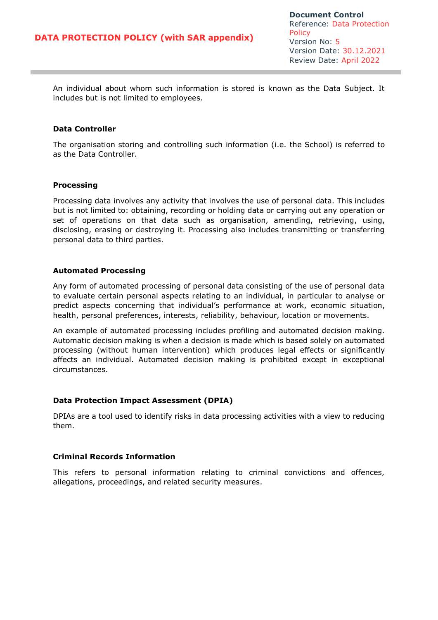An individual about whom such information is stored is known as the Data Subject. It includes but is not limited to employees.

### **Data Controller**

The organisation storing and controlling such information (i.e. the School) is referred to as the Data Controller.

#### **Processing**

Processing data involves any activity that involves the use of personal data. This includes but is not limited to: obtaining, recording or holding data or carrying out any operation or set of operations on that data such as organisation, amending, retrieving, using, disclosing, erasing or destroying it. Processing also includes transmitting or transferring personal data to third parties.

#### **Automated Processing**

Any form of automated processing of personal data consisting of the use of personal data to evaluate certain personal aspects relating to an individual, in particular to analyse or predict aspects concerning that individual's performance at work, economic situation, health, personal preferences, interests, reliability, behaviour, location or movements.

An example of automated processing includes profiling and automated decision making. Automatic decision making is when a decision is made which is based solely on automated processing (without human intervention) which produces legal effects or significantly affects an individual. Automated decision making is prohibited except in exceptional circumstances.

#### **Data Protection Impact Assessment (DPIA)**

DPIAs are a tool used to identify risks in data processing activities with a view to reducing them.

#### **Criminal Records Information**

This refers to personal information relating to criminal convictions and offences, allegations, proceedings, and related security measures.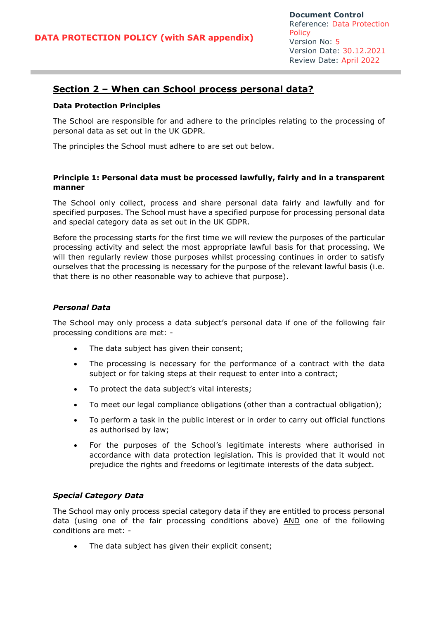## **Section 2 – When can School process personal data?**

#### **Data Protection Principles**

The School are responsible for and adhere to the principles relating to the processing of personal data as set out in the UK GDPR.

The principles the School must adhere to are set out below.

### **Principle 1: Personal data must be processed lawfully, fairly and in a transparent manner**

The School only collect, process and share personal data fairly and lawfully and for specified purposes. The School must have a specified purpose for processing personal data and special category data as set out in the UK GDPR.

Before the processing starts for the first time we will review the purposes of the particular processing activity and select the most appropriate lawful basis for that processing. We will then regularly review those purposes whilst processing continues in order to satisfy ourselves that the processing is necessary for the purpose of the relevant lawful basis (i.e. that there is no other reasonable way to achieve that purpose).

### *Personal Data*

The School may only process a data subject's personal data if one of the following fair processing conditions are met: -

- The data subject has given their consent;
- The processing is necessary for the performance of a contract with the data subject or for taking steps at their request to enter into a contract;
- To protect the data subject's vital interests;
- To meet our legal compliance obligations (other than a contractual obligation);
- To perform a task in the public interest or in order to carry out official functions as authorised by law;
- For the purposes of the School's legitimate interests where authorised in accordance with data protection legislation. This is provided that it would not prejudice the rights and freedoms or legitimate interests of the data subject.

### *Special Category Data*

The School may only process special category data if they are entitled to process personal data (using one of the fair processing conditions above) AND one of the following conditions are met: -

The data subject has given their explicit consent;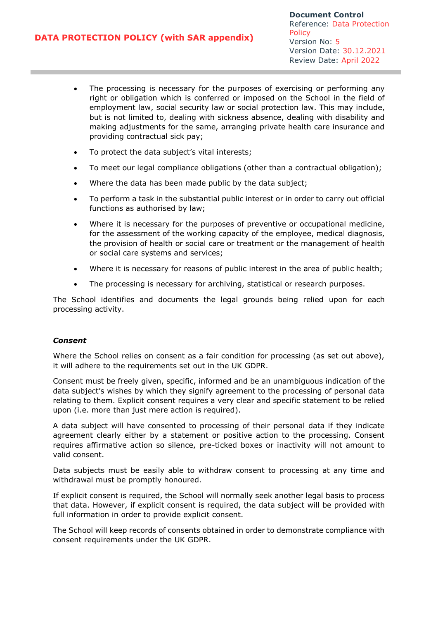- The processing is necessary for the purposes of exercising or performing any right or obligation which is conferred or imposed on the School in the field of employment law, social security law or social protection law. This may include, but is not limited to, dealing with sickness absence, dealing with disability and making adjustments for the same, arranging private health care insurance and providing contractual sick pay;
- To protect the data subject's vital interests;
- To meet our legal compliance obligations (other than a contractual obligation);
- Where the data has been made public by the data subject;
- To perform a task in the substantial public interest or in order to carry out official functions as authorised by law;
- Where it is necessary for the purposes of preventive or occupational medicine, for the assessment of the working capacity of the employee, medical diagnosis, the provision of health or social care or treatment or the management of health or social care systems and services;
- Where it is necessary for reasons of public interest in the area of public health;
- The processing is necessary for archiving, statistical or research purposes.

The School identifies and documents the legal grounds being relied upon for each processing activity.

### *Consent*

Where the School relies on consent as a fair condition for processing (as set out above), it will adhere to the requirements set out in the UK GDPR.

Consent must be freely given, specific, informed and be an unambiguous indication of the data subject's wishes by which they signify agreement to the processing of personal data relating to them. Explicit consent requires a very clear and specific statement to be relied upon (i.e. more than just mere action is required).

A data subject will have consented to processing of their personal data if they indicate agreement clearly either by a statement or positive action to the processing. Consent requires affirmative action so silence, pre-ticked boxes or inactivity will not amount to valid consent.

Data subjects must be easily able to withdraw consent to processing at any time and withdrawal must be promptly honoured.

If explicit consent is required, the School will normally seek another legal basis to process that data. However, if explicit consent is required, the data subject will be provided with full information in order to provide explicit consent.

The School will keep records of consents obtained in order to demonstrate compliance with consent requirements under the UK GDPR.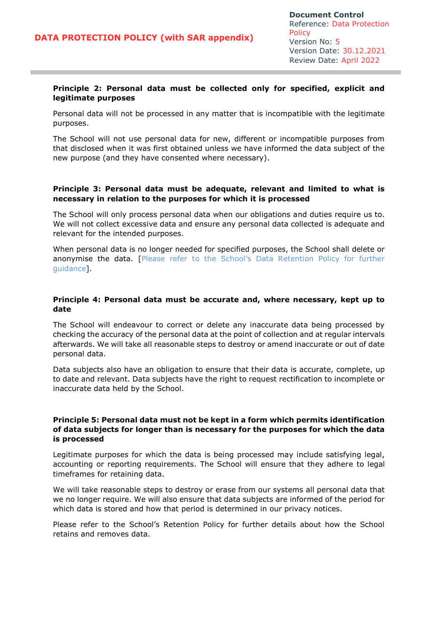### **Principle 2: Personal data must be collected only for specified, explicit and legitimate purposes**

Personal data will not be processed in any matter that is incompatible with the legitimate purposes.

The School will not use personal data for new, different or incompatible purposes from that disclosed when it was first obtained unless we have informed the data subject of the new purpose (and they have consented where necessary).

### **Principle 3: Personal data must be adequate, relevant and limited to what is necessary in relation to the purposes for which it is processed**

The School will only process personal data when our obligations and duties require us to. We will not collect excessive data and ensure any personal data collected is adequate and relevant for the intended purposes.

When personal data is no longer needed for specified purposes, the School shall delete or anonymise the data. [Please refer to the School's Data Retention Policy for further guidance].

### **Principle 4: Personal data must be accurate and, where necessary, kept up to date**

The School will endeavour to correct or delete any inaccurate data being processed by checking the accuracy of the personal data at the point of collection and at regular intervals afterwards. We will take all reasonable steps to destroy or amend inaccurate or out of date personal data.

Data subjects also have an obligation to ensure that their data is accurate, complete, up to date and relevant. Data subjects have the right to request rectification to incomplete or inaccurate data held by the School.

### **Principle 5: Personal data must not be kept in a form which permits identification of data subjects for longer than is necessary for the purposes for which the data is processed**

Legitimate purposes for which the data is being processed may include satisfying legal, accounting or reporting requirements. The School will ensure that they adhere to legal timeframes for retaining data.

We will take reasonable steps to destroy or erase from our systems all personal data that we no longer require. We will also ensure that data subjects are informed of the period for which data is stored and how that period is determined in our privacy notices.

Please refer to the School's Retention Policy for further details about how the School retains and removes data.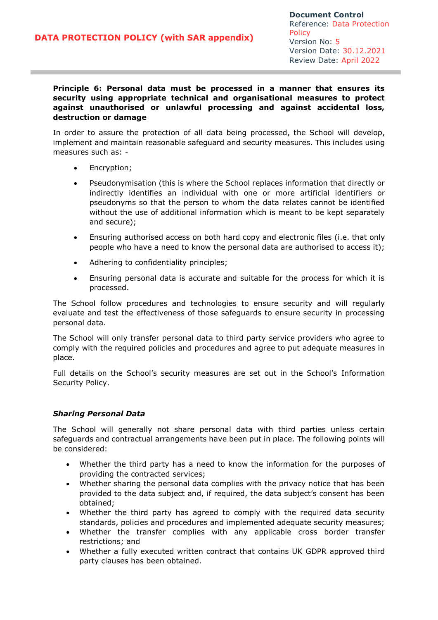### **Principle 6: Personal data must be processed in a manner that ensures its security using appropriate technical and organisational measures to protect against unauthorised or unlawful processing and against accidental loss, destruction or damage**

In order to assure the protection of all data being processed, the School will develop, implement and maintain reasonable safeguard and security measures. This includes using measures such as: -

- Encryption;
- Pseudonymisation (this is where the School replaces information that directly or indirectly identifies an individual with one or more artificial identifiers or pseudonyms so that the person to whom the data relates cannot be identified without the use of additional information which is meant to be kept separately and secure);
- Ensuring authorised access on both hard copy and electronic files (i.e. that only people who have a need to know the personal data are authorised to access it);
- Adhering to confidentiality principles;
- Ensuring personal data is accurate and suitable for the process for which it is processed.

The School follow procedures and technologies to ensure security and will regularly evaluate and test the effectiveness of those safeguards to ensure security in processing personal data.

The School will only transfer personal data to third party service providers who agree to comply with the required policies and procedures and agree to put adequate measures in place.

Full details on the School's security measures are set out in the School's Information Security Policy.

### *Sharing Personal Data*

The School will generally not share personal data with third parties unless certain safeguards and contractual arrangements have been put in place. The following points will be considered:

- Whether the third party has a need to know the information for the purposes of providing the contracted services;
- Whether sharing the personal data complies with the privacy notice that has been provided to the data subject and, if required, the data subject's consent has been obtained;
- Whether the third party has agreed to comply with the required data security standards, policies and procedures and implemented adequate security measures;
- Whether the transfer complies with any applicable cross border transfer restrictions; and
- Whether a fully executed written contract that contains UK GDPR approved third party clauses has been obtained.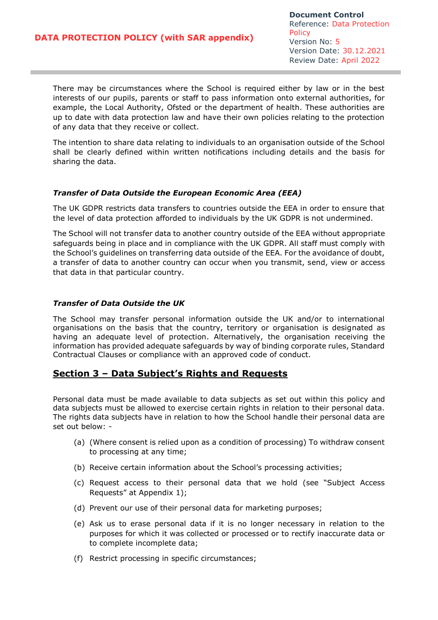There may be circumstances where the School is required either by law or in the best interests of our pupils, parents or staff to pass information onto external authorities, for example, the Local Authority, Ofsted or the department of health. These authorities are up to date with data protection law and have their own policies relating to the protection of any data that they receive or collect.

The intention to share data relating to individuals to an organisation outside of the School shall be clearly defined within written notifications including details and the basis for sharing the data.

### *Transfer of Data Outside the European Economic Area (EEA)*

The UK GDPR restricts data transfers to countries outside the EEA in order to ensure that the level of data protection afforded to individuals by the UK GDPR is not undermined.

The School will not transfer data to another country outside of the EEA without appropriate safeguards being in place and in compliance with the UK GDPR. All staff must comply with the School's guidelines on transferring data outside of the EEA. For the avoidance of doubt, a transfer of data to another country can occur when you transmit, send, view or access that data in that particular country.

### *Transfer of Data Outside the UK*

The School may transfer personal information outside the UK and/or to international organisations on the basis that the country, territory or organisation is designated as having an adequate level of protection. Alternatively, the organisation receiving the information has provided adequate safeguards by way of binding corporate rules, Standard Contractual Clauses or compliance with an approved code of conduct.

## **Section 3 – Data Subject's Rights and Requests**

Personal data must be made available to data subjects as set out within this policy and data subjects must be allowed to exercise certain rights in relation to their personal data. The rights data subjects have in relation to how the School handle their personal data are set out below: -

- (a) (Where consent is relied upon as a condition of processing) To withdraw consent to processing at any time;
- (b) Receive certain information about the School's processing activities;
- (c) Request access to their personal data that we hold (see "Subject Access Requests" at Appendix 1);
- (d) Prevent our use of their personal data for marketing purposes;
- (e) Ask us to erase personal data if it is no longer necessary in relation to the purposes for which it was collected or processed or to rectify inaccurate data or to complete incomplete data;
- (f) Restrict processing in specific circumstances;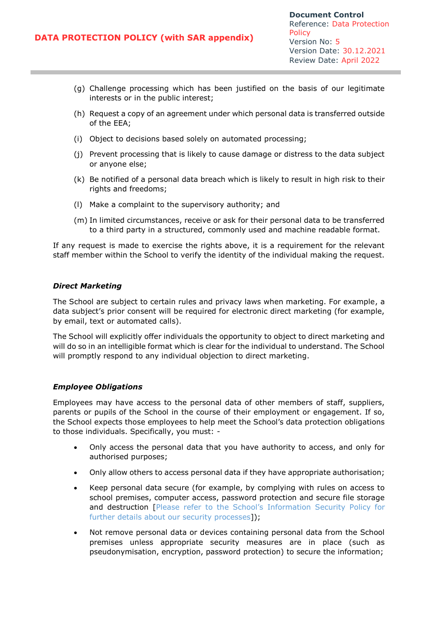- (g) Challenge processing which has been justified on the basis of our legitimate interests or in the public interest;
- (h) Request a copy of an agreement under which personal data is transferred outside of the EEA;
- (i) Object to decisions based solely on automated processing;
- (j) Prevent processing that is likely to cause damage or distress to the data subject or anyone else;
- (k) Be notified of a personal data breach which is likely to result in high risk to their rights and freedoms;
- (l) Make a complaint to the supervisory authority; and
- (m) In limited circumstances, receive or ask for their personal data to be transferred to a third party in a structured, commonly used and machine readable format.

If any request is made to exercise the rights above, it is a requirement for the relevant staff member within the School to verify the identity of the individual making the request.

### *Direct Marketing*

The School are subject to certain rules and privacy laws when marketing. For example, a data subject's prior consent will be required for electronic direct marketing (for example, by email, text or automated calls).

The School will explicitly offer individuals the opportunity to object to direct marketing and will do so in an intelligible format which is clear for the individual to understand. The School will promptly respond to any individual objection to direct marketing.

#### *Employee Obligations*

Employees may have access to the personal data of other members of staff, suppliers, parents or pupils of the School in the course of their employment or engagement. If so, the School expects those employees to help meet the School's data protection obligations to those individuals. Specifically, you must: -

- Only access the personal data that you have authority to access, and only for authorised purposes;
- Only allow others to access personal data if they have appropriate authorisation;
- Keep personal data secure (for example, by complying with rules on access to school premises, computer access, password protection and secure file storage and destruction [Please refer to the School's Information Security Policy for further details about our security processes]);
- Not remove personal data or devices containing personal data from the School premises unless appropriate security measures are in place (such as pseudonymisation, encryption, password protection) to secure the information;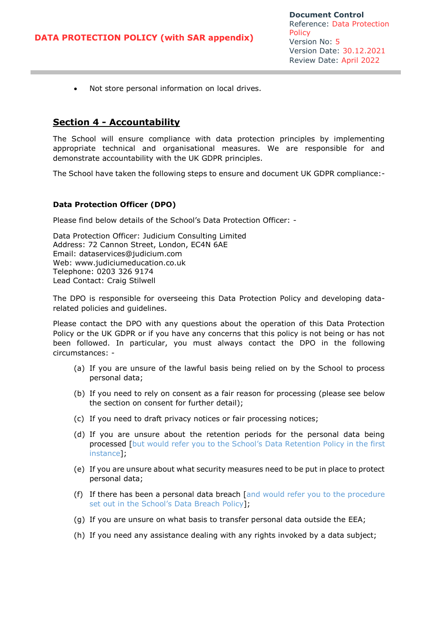• Not store personal information on local drives.

## **Section 4 - Accountability**

The School will ensure compliance with data protection principles by implementing appropriate technical and organisational measures. We are responsible for and demonstrate accountability with the UK GDPR principles.

The School have taken the following steps to ensure and document UK GDPR compliance:-

### **Data Protection Officer (DPO)**

Please find below details of the School's Data Protection Officer: -

Data Protection Officer: Judicium Consulting Limited Address: 72 Cannon Street, London, EC4N 6AE Email: [dataservices@judicium.com](mailto:dataservices@judicium.com) Web: www.judiciumeducation.co.uk Telephone: 0203 326 9174 Lead Contact: Craig Stilwell

The DPO is responsible for overseeing this Data Protection Policy and developing datarelated policies and guidelines.

Please contact the DPO with any questions about the operation of this Data Protection Policy or the UK GDPR or if you have any concerns that this policy is not being or has not been followed. In particular, you must always contact the DPO in the following circumstances: -

- (a) If you are unsure of the lawful basis being relied on by the School to process personal data;
- (b) If you need to rely on consent as a fair reason for processing (please see below the section on consent for further detail);
- (c) If you need to draft privacy notices or fair processing notices;
- (d) If you are unsure about the retention periods for the personal data being processed [but would refer you to the School's Data Retention Policy in the first instance];
- (e) If you are unsure about what security measures need to be put in place to protect personal data;
- (f) If there has been a personal data breach [and would refer you to the procedure set out in the School's Data Breach Policy];
- (g) If you are unsure on what basis to transfer personal data outside the EEA;
- (h) If you need any assistance dealing with any rights invoked by a data subject;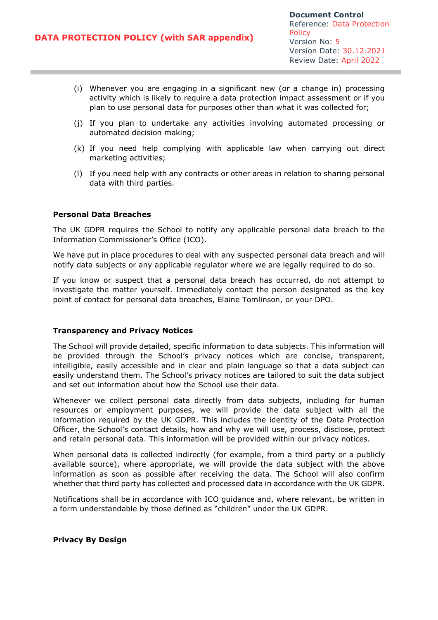- (i) Whenever you are engaging in a significant new (or a change in) processing activity which is likely to require a data protection impact assessment or if you plan to use personal data for purposes other than what it was collected for;
- (j) If you plan to undertake any activities involving automated processing or automated decision making;
- (k) If you need help complying with applicable law when carrying out direct marketing activities;
- (l) If you need help with any contracts or other areas in relation to sharing personal data with third parties.

### **Personal Data Breaches**

The UK GDPR requires the School to notify any applicable personal data breach to the Information Commissioner's Office (ICO).

We have put in place procedures to deal with any suspected personal data breach and will notify data subjects or any applicable regulator where we are legally required to do so.

If you know or suspect that a personal data breach has occurred, do not attempt to investigate the matter yourself. Immediately contact the person designated as the key point of contact for personal data breaches, Elaine Tomlinson, or your DPO.

#### **Transparency and Privacy Notices**

The School will provide detailed, specific information to data subjects. This information will be provided through the School's privacy notices which are concise, transparent, intelligible, easily accessible and in clear and plain language so that a data subject can easily understand them. The School's privacy notices are tailored to suit the data subject and set out information about how the School use their data.

Whenever we collect personal data directly from data subjects, including for human resources or employment purposes, we will provide the data subject with all the information required by the UK GDPR. This includes the identity of the Data Protection Officer, the School's contact details, how and why we will use, process, disclose, protect and retain personal data. This information will be provided within our privacy notices.

When personal data is collected indirectly (for example, from a third party or a publicly available source), where appropriate, we will provide the data subject with the above information as soon as possible after receiving the data. The School will also confirm whether that third party has collected and processed data in accordance with the UK GDPR.

Notifications shall be in accordance with ICO guidance and, where relevant, be written in a form understandable by those defined as "children" under the UK GDPR.

#### **Privacy By Design**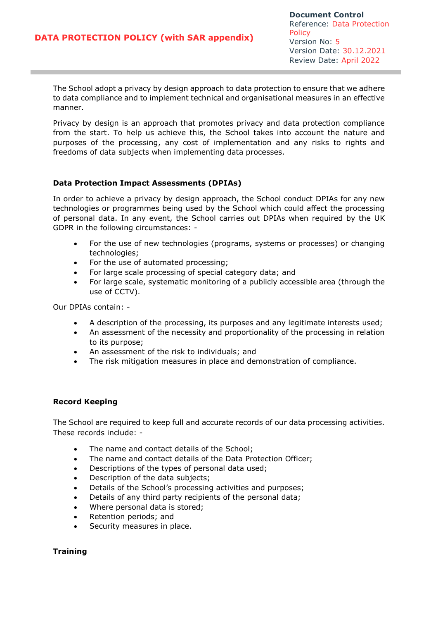The School adopt a privacy by design approach to data protection to ensure that we adhere to data compliance and to implement technical and organisational measures in an effective manner.

Privacy by design is an approach that promotes privacy and data protection compliance from the start. To help us achieve this, the School takes into account the nature and purposes of the processing, any cost of implementation and any risks to rights and freedoms of data subjects when implementing data processes.

### **Data Protection Impact Assessments (DPIAs)**

In order to achieve a privacy by design approach, the School conduct DPIAs for any new technologies or programmes being used by the School which could affect the processing of personal data. In any event, the School carries out DPIAs when required by the UK GDPR in the following circumstances: -

- For the use of new technologies (programs, systems or processes) or changing technologies;
- For the use of automated processing;
- For large scale processing of special category data; and
- For large scale, systematic monitoring of a publicly accessible area (through the use of CCTV).

Our DPIAs contain: -

- A description of the processing, its purposes and any legitimate interests used;
- An assessment of the necessity and proportionality of the processing in relation to its purpose;
- An assessment of the risk to individuals; and
- The risk mitigation measures in place and demonstration of compliance.

### **Record Keeping**

The School are required to keep full and accurate records of our data processing activities. These records include: -

- The name and contact details of the School;
- The name and contact details of the Data Protection Officer;
- Descriptions of the types of personal data used;
- Description of the data subjects;
- Details of the School's processing activities and purposes;
- Details of any third party recipients of the personal data;
- Where personal data is stored;
- Retention periods; and
- Security measures in place.

### **Training**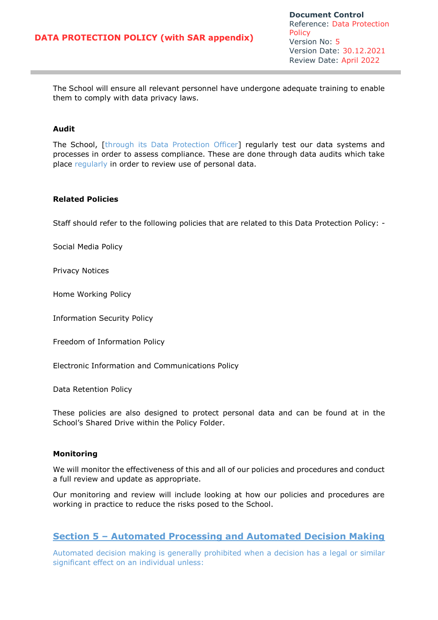The School will ensure all relevant personnel have undergone adequate training to enable them to comply with data privacy laws.

### **Audit**

The School, [through its Data Protection Officer] regularly test our data systems and processes in order to assess compliance. These are done through data audits which take place regularly in order to review use of personal data.

#### **Related Policies**

Staff should refer to the following policies that are related to this Data Protection Policy: -

Social Media Policy

Privacy Notices

Home Working Policy

Information Security Policy

Freedom of Information Policy

Electronic Information and Communications Policy

Data Retention Policy

These policies are also designed to protect personal data and can be found at in the School's Shared Drive within the Policy Folder.

#### **Monitoring**

We will monitor the effectiveness of this and all of our policies and procedures and conduct a full review and update as appropriate.

Our monitoring and review will include looking at how our policies and procedures are working in practice to reduce the risks posed to the School.

## **Section 5 – Automated Processing and Automated Decision Making**

Automated decision making is generally prohibited when a decision has a legal or similar significant effect on an individual unless: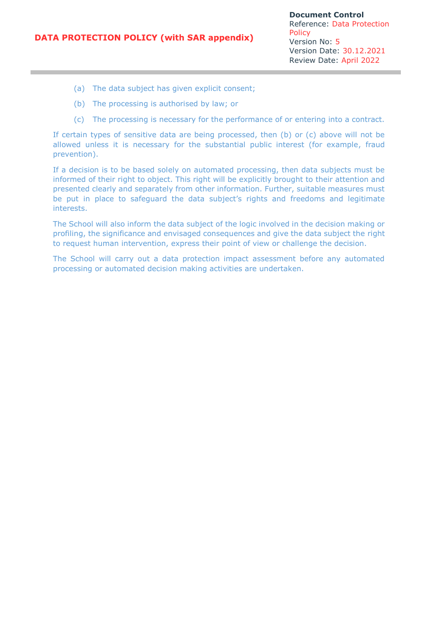- (a) The data subject has given explicit consent;
- (b) The processing is authorised by law; or
- (c) The processing is necessary for the performance of or entering into a contract.

If certain types of sensitive data are being processed, then (b) or (c) above will not be allowed unless it is necessary for the substantial public interest (for example, fraud prevention).

If a decision is to be based solely on automated processing, then data subjects must be informed of their right to object. This right will be explicitly brought to their attention and presented clearly and separately from other information. Further, suitable measures must be put in place to safeguard the data subject's rights and freedoms and legitimate interests.

The School will also inform the data subject of the logic involved in the decision making or profiling, the significance and envisaged consequences and give the data subject the right to request human intervention, express their point of view or challenge the decision.

The School will carry out a data protection impact assessment before any automated processing or automated decision making activities are undertaken.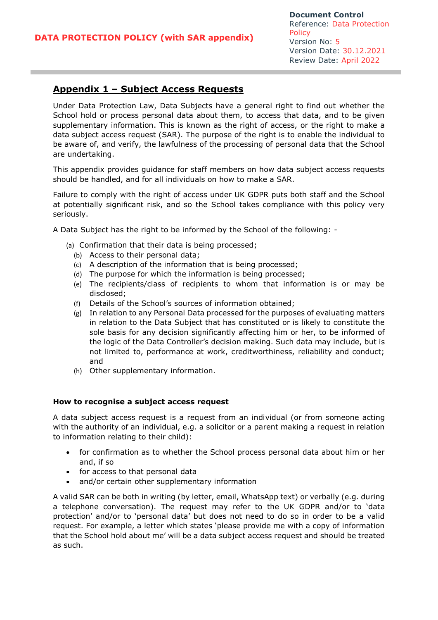## **Appendix 1 – Subject Access Requests**

Under Data Protection Law, Data Subjects have a general right to find out whether the School hold or process personal data about them, to access that data, and to be given supplementary information. This is known as the right of access, or the right to make a data subject access request (SAR). The purpose of the right is to enable the individual to be aware of, and verify, the lawfulness of the processing of personal data that the School are undertaking.

This appendix provides guidance for staff members on how data subject access requests should be handled, and for all individuals on how to make a SAR.

Failure to comply with the right of access under UK GDPR puts both staff and the School at potentially significant risk, and so the School takes compliance with this policy very seriously.

A Data Subject has the right to be informed by the School of the following: -

- (a) Confirmation that their data is being processed;
	- (b) Access to their personal data;
	- (c) A description of the information that is being processed;
	- (d) The purpose for which the information is being processed;
	- (e) The recipients/class of recipients to whom that information is or may be disclosed;
	- (f) Details of the School's sources of information obtained;
	- (g) In relation to any Personal Data processed for the purposes of evaluating matters in relation to the Data Subject that has constituted or is likely to constitute the sole basis for any decision significantly affecting him or her, to be informed of the logic of the Data Controller's decision making. Such data may include, but is not limited to, performance at work, creditworthiness, reliability and conduct; and
	- (h) Other supplementary information.

#### **How to recognise a subject access request**

A data subject access request is a request from an individual (or from someone acting with the authority of an individual, e.g. a solicitor or a parent making a request in relation to information relating to their child):

- for confirmation as to whether the School process personal data about him or her and, if so
- for access to that personal data
- and/or certain other supplementary information

A valid SAR can be both in writing (by letter, email, WhatsApp text) or verbally (e.g. during a telephone conversation). The request may refer to the UK GDPR and/or to 'data protection' and/or to 'personal data' but does not need to do so in order to be a valid request. For example, a letter which states 'please provide me with a copy of information that the School hold about me' will be a data subject access request and should be treated as such.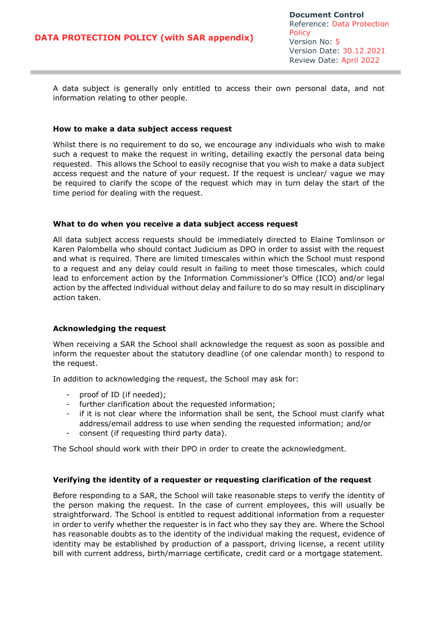A data subject is generally only entitled to access their own personal data, and not information relating to other people.

#### **How to make a data subject access request**

Whilst there is no requirement to do so, we encourage any individuals who wish to make such a request to make the request in writing, detailing exactly the personal data being requested. This allows the School to easily recognise that you wish to make a data subject access request and the nature of your request. If the request is unclear/ vague we may be required to clarify the scope of the request which may in turn delay the start of the time period for dealing with the request.

### **What to do when you receive a data subject access request**

All data subject access requests should be immediately directed to Elaine Tomlinson or Karen Palombella who should contact Judicium as DPO in order to assist with the request and what is required. There are limited timescales within which the School must respond to a request and any delay could result in failing to meet those timescales, which could lead to enforcement action by the Information Commissioner's Office (ICO) and/or legal action by the affected individual without delay and failure to do so may result in disciplinary action taken.

### **Acknowledging the request**

When receiving a SAR the School shall acknowledge the request as soon as possible and inform the requester about the statutory deadline (of one calendar month) to respond to the request.

In addition to acknowledging the request, the School may ask for:

- proof of ID (if needed);
- further clarification about the requested information;
- if it is not clear where the information shall be sent, the School must clarify what address/email address to use when sending the requested information; and/or
- consent (if requesting third party data).

The School should work with their DPO in order to create the acknowledgment.

### **Verifying the identity of a requester or requesting clarification of the request**

Before responding to a SAR, the School will take reasonable steps to verify the identity of the person making the request. In the case of current employees, this will usually be straightforward. The School is entitled to request additional information from a requester in order to verify whether the requester is in fact who they say they are. Where the School has reasonable doubts as to the identity of the individual making the request, evidence of identity may be established by production of a passport, driving license, a recent utility bill with current address, birth/marriage certificate, credit card or a mortgage statement.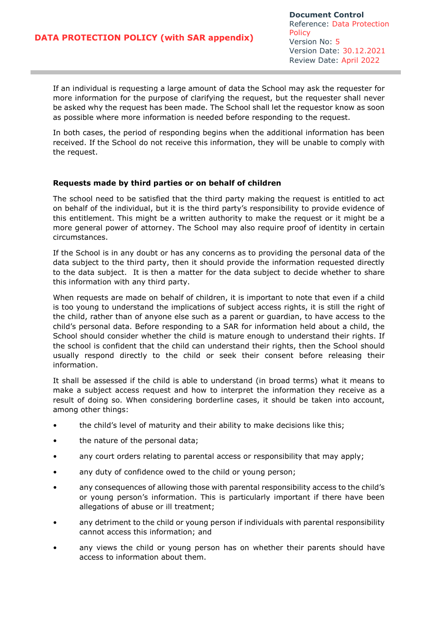If an individual is requesting a large amount of data the School may ask the requester for more information for the purpose of clarifying the request, but the requester shall never be asked why the request has been made. The School shall let the requestor know as soon as possible where more information is needed before responding to the request.

In both cases, the period of responding begins when the additional information has been received. If the School do not receive this information, they will be unable to comply with the request.

### **Requests made by third parties or on behalf of children**

The school need to be satisfied that the third party making the request is entitled to act on behalf of the individual, but it is the third party's responsibility to provide evidence of this entitlement. This might be a written authority to make the request or it might be a more general power of attorney. The School may also require proof of identity in certain circumstances.

If the School is in any doubt or has any concerns as to providing the personal data of the data subject to the third party, then it should provide the information requested directly to the data subject. It is then a matter for the data subject to decide whether to share this information with any third party.

When requests are made on behalf of children, it is important to note that even if a child is too young to understand the implications of subject access rights, it is still the right of the child, rather than of anyone else such as a parent or guardian, to have access to the child's personal data. Before responding to a SAR for information held about a child, the School should consider whether the child is mature enough to understand their rights. If the school is confident that the child can understand their rights, then the School should usually respond directly to the child or seek their consent before releasing their information.

It shall be assessed if the child is able to understand (in broad terms) what it means to make a subject access request and how to interpret the information they receive as a result of doing so. When considering borderline cases, it should be taken into account, among other things:

- the child's level of maturity and their ability to make decisions like this;
- the nature of the personal data;
- any court orders relating to parental access or responsibility that may apply;
- any duty of confidence owed to the child or young person;
- any consequences of allowing those with parental responsibility access to the child's or young person's information. This is particularly important if there have been allegations of abuse or ill treatment;
- any detriment to the child or young person if individuals with parental responsibility cannot access this information; and
- any views the child or young person has on whether their parents should have access to information about them.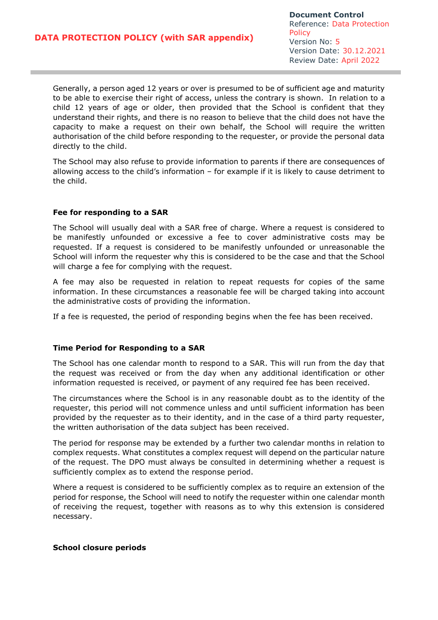Generally, a person aged 12 years or over is presumed to be of sufficient age and maturity to be able to exercise their right of access, unless the contrary is shown. In relation to a child 12 years of age or older, then provided that the School is confident that they understand their rights, and there is no reason to believe that the child does not have the capacity to make a request on their own behalf, the School will require the written authorisation of the child before responding to the requester, or provide the personal data directly to the child.

The School may also refuse to provide information to parents if there are consequences of allowing access to the child's information – for example if it is likely to cause detriment to the child.

### **Fee for responding to a SAR**

The School will usually deal with a SAR free of charge. Where a request is considered to be manifestly unfounded or excessive a fee to cover administrative costs may be requested. If a request is considered to be manifestly unfounded or unreasonable the School will inform the requester why this is considered to be the case and that the School will charge a fee for complying with the request.

A fee may also be requested in relation to repeat requests for copies of the same information. In these circumstances a reasonable fee will be charged taking into account the administrative costs of providing the information.

If a fee is requested, the period of responding begins when the fee has been received.

#### **Time Period for Responding to a SAR**

The School has one calendar month to respond to a SAR. This will run from the day that the request was received or from the day when any additional identification or other information requested is received, or payment of any required fee has been received.

The circumstances where the School is in any reasonable doubt as to the identity of the requester, this period will not commence unless and until sufficient information has been provided by the requester as to their identity, and in the case of a third party requester, the written authorisation of the data subject has been received.

The period for response may be extended by a further two calendar months in relation to complex requests. What constitutes a complex request will depend on the particular nature of the request. The DPO must always be consulted in determining whether a request is sufficiently complex as to extend the response period.

Where a request is considered to be sufficiently complex as to require an extension of the period for response, the School will need to notify the requester within one calendar month of receiving the request, together with reasons as to why this extension is considered necessary.

#### **School closure periods**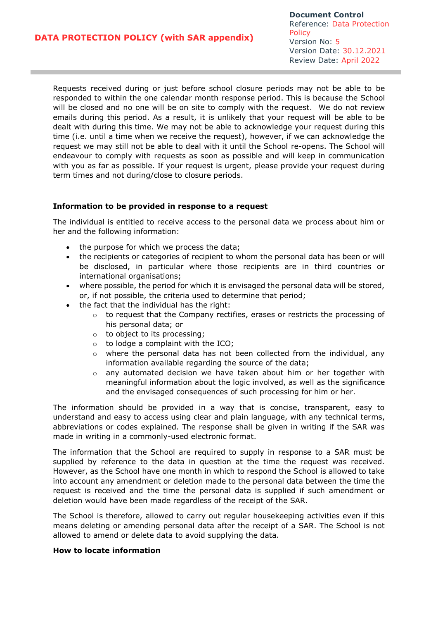Requests received during or just before school closure periods may not be able to be responded to within the one calendar month response period. This is because the School will be closed and no one will be on site to comply with the request. We do not review emails during this period. As a result, it is unlikely that your request will be able to be dealt with during this time. We may not be able to acknowledge your request during this time (i.e. until a time when we receive the request), however, if we can acknowledge the request we may still not be able to deal with it until the School re-opens. The School will endeavour to comply with requests as soon as possible and will keep in communication with you as far as possible. If your request is urgent, please provide your request during term times and not during/close to closure periods.

### **Information to be provided in response to a request**

The individual is entitled to receive access to the personal data we process about him or her and the following information:

- the purpose for which we process the data;
- the recipients or categories of recipient to whom the personal data has been or will be disclosed, in particular where those recipients are in third countries or international organisations;
- where possible, the period for which it is envisaged the personal data will be stored, or, if not possible, the criteria used to determine that period;
- the fact that the individual has the right:
	- o to request that the Company rectifies, erases or restricts the processing of his personal data; or
	- o to object to its processing;
	- $\circ$  to lodge a complaint with the ICO;
	- $\circ$  where the personal data has not been collected from the individual, any information available regarding the source of the data;
	- $\circ$  any automated decision we have taken about him or her together with meaningful information about the logic involved, as well as the significance and the envisaged consequences of such processing for him or her.

The information should be provided in a way that is concise, transparent, easy to understand and easy to access using clear and plain language, with any technical terms, abbreviations or codes explained. The response shall be given in writing if the SAR was made in writing in a commonly-used electronic format.

The information that the School are required to supply in response to a SAR must be supplied by reference to the data in question at the time the request was received. However, as the School have one month in which to respond the School is allowed to take into account any amendment or deletion made to the personal data between the time the request is received and the time the personal data is supplied if such amendment or deletion would have been made regardless of the receipt of the SAR.

The School is therefore, allowed to carry out regular housekeeping activities even if this means deleting or amending personal data after the receipt of a SAR. The School is not allowed to amend or delete data to avoid supplying the data.

#### **How to locate information**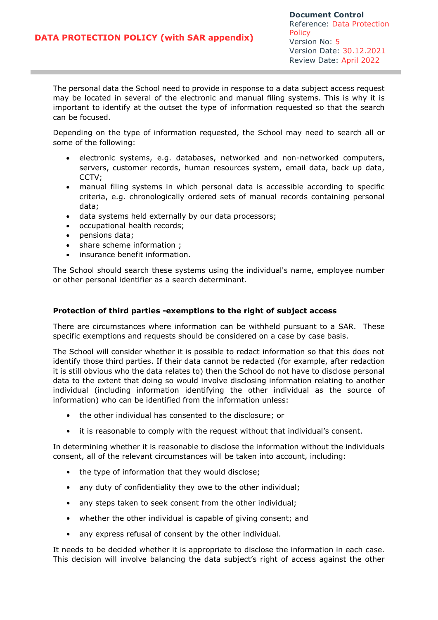The personal data the School need to provide in response to a data subject access request may be located in several of the electronic and manual filing systems. This is why it is important to identify at the outset the type of information requested so that the search can be focused.

Depending on the type of information requested, the School may need to search all or some of the following:

- electronic systems, e.g. databases, networked and non-networked computers, servers, customer records, human resources system, email data, back up data, CCTV;
- manual filing systems in which personal data is accessible according to specific criteria, e.g. chronologically ordered sets of manual records containing personal data;
- data systems held externally by our data processors;
- occupational health records;
- pensions data;
- share scheme information ;
- insurance benefit information.

The School should search these systems using the individual's name, employee number or other personal identifier as a search determinant.

#### **Protection of third parties -exemptions to the right of subject access**

There are circumstances where information can be withheld pursuant to a SAR. These specific exemptions and requests should be considered on a case by case basis.

The School will consider whether it is possible to redact information so that this does not identify those third parties. If their data cannot be redacted (for example, after redaction it is still obvious who the data relates to) then the School do not have to disclose personal data to the extent that doing so would involve disclosing information relating to another individual (including information identifying the other individual as the source of information) who can be identified from the information unless:

- the other individual has consented to the disclosure; or
- it is reasonable to comply with the request without that individual's consent.

In determining whether it is reasonable to disclose the information without the individuals consent, all of the relevant circumstances will be taken into account, including:

- the type of information that they would disclose;
- any duty of confidentiality they owe to the other individual;
- any steps taken to seek consent from the other individual;
- whether the other individual is capable of giving consent; and
- any express refusal of consent by the other individual.

It needs to be decided whether it is appropriate to disclose the information in each case. This decision will involve balancing the data subject's right of access against the other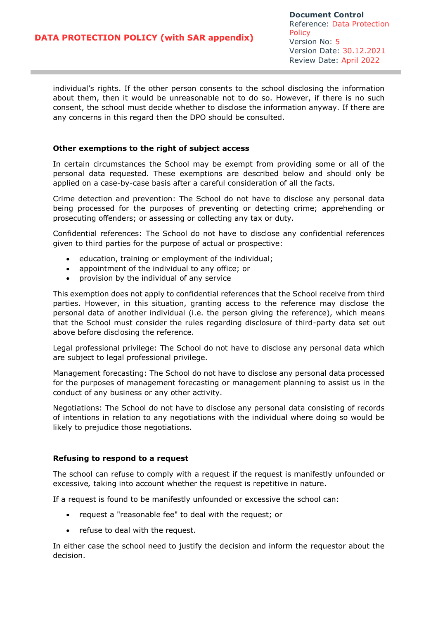individual's rights. If the other person consents to the school disclosing the information about them, then it would be unreasonable not to do so. However, if there is no such consent, the school must decide whether to disclose the information anyway. If there are any concerns in this regard then the DPO should be consulted.

### **Other exemptions to the right of subject access**

In certain circumstances the School may be exempt from providing some or all of the personal data requested. These exemptions are described below and should only be applied on a case-by-case basis after a careful consideration of all the facts.

Crime detection and prevention: The School do not have to disclose any personal data being processed for the purposes of preventing or detecting crime; apprehending or prosecuting offenders; or assessing or collecting any tax or duty.

Confidential references: The School do not have to disclose any confidential references given to third parties for the purpose of actual or prospective:

- education, training or employment of the individual;
- appointment of the individual to any office; or
- provision by the individual of any service

This exemption does not apply to confidential references that the School receive from third parties. However, in this situation, granting access to the reference may disclose the personal data of another individual (i.e. the person giving the reference), which means that the School must consider the rules regarding disclosure of third-party data set out above before disclosing the reference.

Legal professional privilege: The School do not have to disclose any personal data which are subject to legal professional privilege.

Management forecasting: The School do not have to disclose any personal data processed for the purposes of management forecasting or management planning to assist us in the conduct of any business or any other activity.

Negotiations: The School do not have to disclose any personal data consisting of records of intentions in relation to any negotiations with the individual where doing so would be likely to prejudice those negotiations.

#### **Refusing to respond to a request**

The school can refuse to comply with a request if the request is manifestly unfounded or excessive*,* taking into account whether the request is repetitive in nature.

If a request is found to be manifestly unfounded or excessive the school can:

- request a "reasonable fee" to deal with the request; or
- refuse to deal with the request.

In either case the school need to justify the decision and inform the requestor about the decision.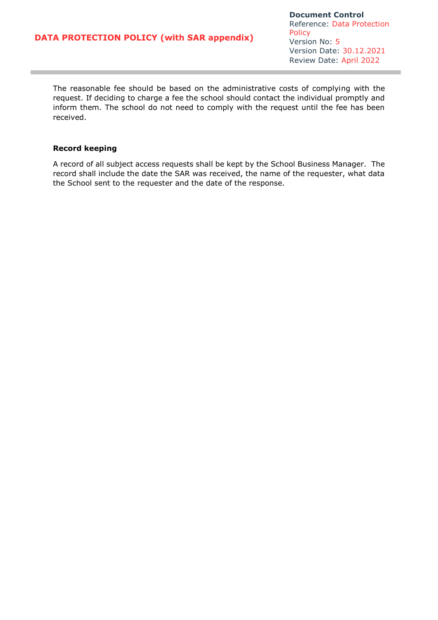The reasonable fee should be based on the administrative costs of complying with the request. If deciding to charge a fee the school should contact the individual promptly and inform them. The school do not need to comply with the request until the fee has been received.

#### **Record keeping**

A record of all subject access requests shall be kept by the School Business Manager. The record shall include the date the SAR was received, the name of the requester, what data the School sent to the requester and the date of the response.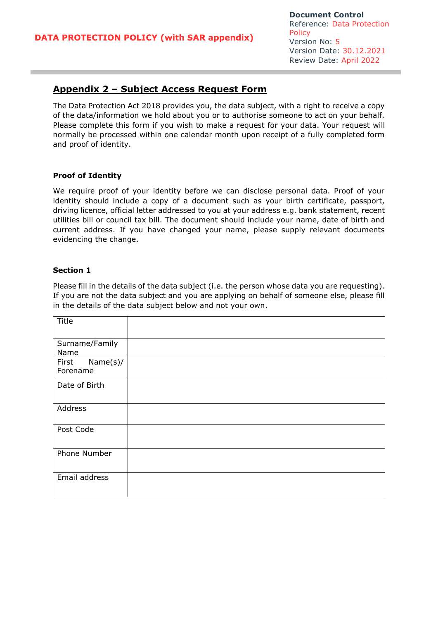# **Appendix 2 – Subject Access Request Form**

The Data Protection Act 2018 provides you, the data subject, with a right to receive a copy of the data/information we hold about you or to authorise someone to act on your behalf. Please complete this form if you wish to make a request for your data. Your request will normally be processed within one calendar month upon receipt of a fully completed form and proof of identity.

### **Proof of Identity**

We require proof of your identity before we can disclose personal data. Proof of your identity should include a copy of a document such as your birth certificate, passport, driving licence, official letter addressed to you at your address e.g. bank statement, recent utilities bill or council tax bill. The document should include your name, date of birth and current address. If you have changed your name, please supply relevant documents evidencing the change.

### **Section 1**

Please fill in the details of the data subject (i.e. the person whose data you are requesting). If you are not the data subject and you are applying on behalf of someone else, please fill in the details of the data subject below and not your own.

| Title                        |  |
|------------------------------|--|
| Surname/Family<br>Name       |  |
| Name(s)<br>First<br>Forename |  |
| Date of Birth                |  |
| Address                      |  |
| Post Code                    |  |
| Phone Number                 |  |
| Email address                |  |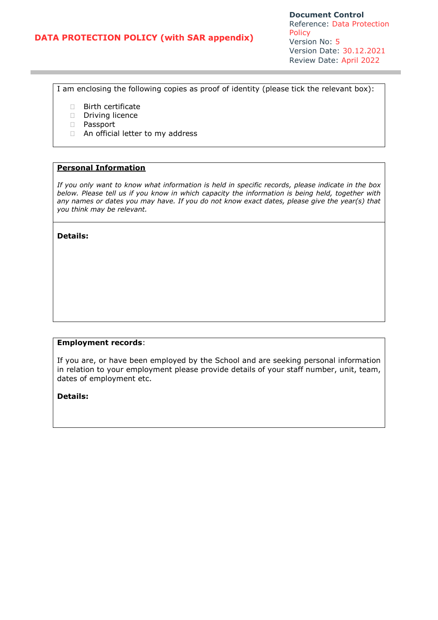**Document Control** Reference: Data Protection **Policy** Version No: 5 Version Date: 30.12.2021 Review Date: April 2022

I am enclosing the following copies as proof of identity (please tick the relevant box):

- **Birth certificate**
- Driving licence
- Passport
- □ An official letter to my address

### **Personal Information**

*If you only want to know what information is held in specific records, please indicate in the box below. Please tell us if you know in which capacity the information is being held, together with any names or dates you may have. If you do not know exact dates, please give the year(s) that you think may be relevant.* 

**Details:** 

### **Employment records**:

If you are, or have been employed by the School and are seeking personal information in relation to your employment please provide details of your staff number, unit, team, dates of employment etc.

**Details:**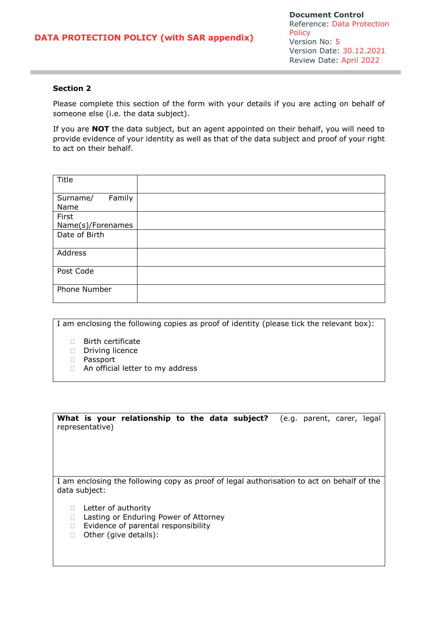### **Section 2**

Please complete this section of the form with your details if you are acting on behalf of someone else (i.e. the data subject).

If you are **NOT** the data subject, but an agent appointed on their behalf, you will need to provide evidence of your identity as well as that of the data subject and proof of your right to act on their behalf.

| Title              |  |
|--------------------|--|
| Family<br>Surname/ |  |
| Name               |  |
| First              |  |
| Name(s)/Forenames  |  |
| Date of Birth      |  |
| Address            |  |
| Post Code          |  |
| Phone Number       |  |

I am enclosing the following copies as proof of identity (please tick the relevant box):

- Birth certificate
- Driving licence
- Passport
- □ An official letter to my address

**What is your relationship to the data subject?** (e.g. parent, carer, legal representative)

I am enclosing the following copy as proof of legal authorisation to act on behalf of the data subject:

- □ Letter of authority
- □ Lasting or Enduring Power of Attorney
- $\Box$  Evidence of parental responsibility
- □ Other (give details):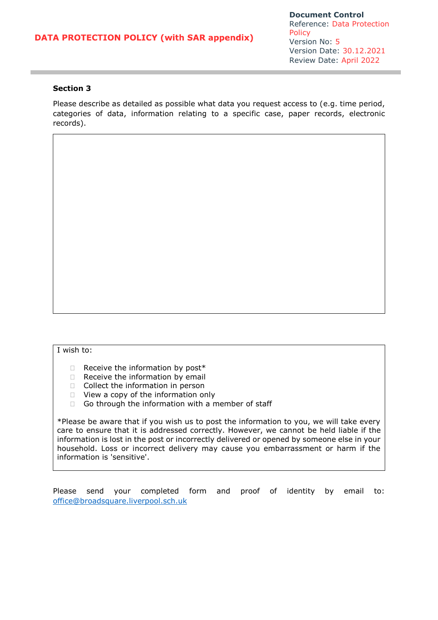**Document Control** Reference: Data Protection Policy Version No: 5 Version Date: 30.12.2021 Review Date: April 2022

### **Section 3**

Please describe as detailed as possible what data you request access to (e.g. time period, categories of data, information relating to a specific case, paper records, electronic records).

#### I wish to:

- $\Box$  Receive the information by post\*
- $\Box$  Receive the information by email
- $\Box$  Collect the information in person
- □ View a copy of the information only
- Go through the information with a member of staff

\*Please be aware that if you wish us to post the information to you, we will take every care to ensure that it is addressed correctly. However, we cannot be held liable if the information is lost in the post or incorrectly delivered or opened by someone else in your household. Loss or incorrect delivery may cause you embarrassment or harm if the information is 'sensitive'.

Please send your completed form and proof of identity by email to: [office@broadsquare.liverpool.sch.uk](mailto:office@broadsquare.liverpool.sch.uk)